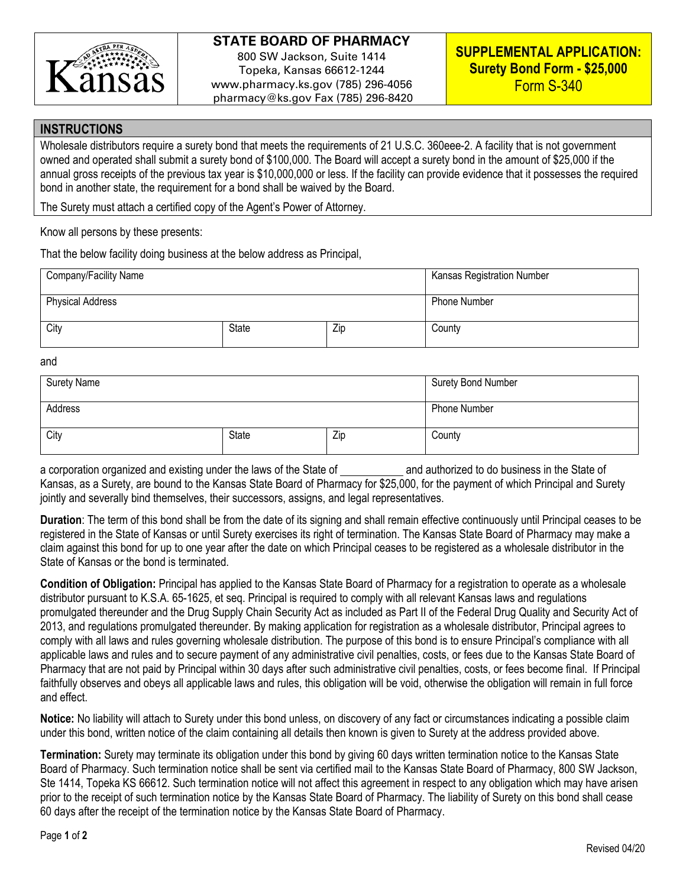

## **STATE BOARD OF PHARMACY**

800 SW Jackson, Suite 1414 Topeka, Kansas 66612-1244 www.pharmacy.ks.gov (785) 296-4056 pharmacy@ks.gov Fax (785) 296-8420

### **INSTRUCTIONS**

Wholesale distributors require a surety bond that meets the requirements of 21 U.S.C. 360eee-2. A facility that is not government owned and operated shall submit a surety bond of \$100,000. The Board will accept a surety bond in the amount of \$25,000 if the annual gross receipts of the previous tax year is \$10,000,000 or less. If the facility can provide evidence that it possesses the required bond in another state, the requirement for a bond shall be waived by the Board.

The Surety must attach a certified copy of the Agent's Power of Attorney.

Know all persons by these presents:

That the below facility doing business at the below address as Principal,

| Company/Facility Name   |              |     | <b>Kansas Registration Number</b> |
|-------------------------|--------------|-----|-----------------------------------|
| <b>Physical Address</b> |              |     | <b>Phone Number</b>               |
| City                    | <b>State</b> | Zip | County                            |

#### and

| <b>Surety Name</b> |       |     | Surety Bond Number |
|--------------------|-------|-----|--------------------|
| Address            |       |     | Phone Number       |
| City               | State | Zip | County             |

a corporation organized and existing under the laws of the State of and authorized to do business in the State of Kansas, as a Surety, are bound to the Kansas State Board of Pharmacy for \$25,000, for the payment of which Principal and Surety jointly and severally bind themselves, their successors, assigns, and legal representatives.

**Duration**: The term of this bond shall be from the date of its signing and shall remain effective continuously until Principal ceases to be registered in the State of Kansas or until Surety exercises its right of termination. The Kansas State Board of Pharmacy may make a claim against this bond for up to one year after the date on which Principal ceases to be registered as a wholesale distributor in the State of Kansas or the bond is terminated.

**Condition of Obligation:** Principal has applied to the Kansas State Board of Pharmacy for a registration to operate as a wholesale distributor pursuant to K.S.A. 65-1625, et seq. Principal is required to comply with all relevant Kansas laws and regulations promulgated thereunder and the Drug Supply Chain Security Act as included as Part II of the Federal Drug Quality and Security Act of 2013, and regulations promulgated thereunder. By making application for registration as a wholesale distributor, Principal agrees to comply with all laws and rules governing wholesale distribution. The purpose of this bond is to ensure Principal's compliance with all applicable laws and rules and to secure payment of any administrative civil penalties, costs, or fees due to the Kansas State Board of Pharmacy that are not paid by Principal within 30 days after such administrative civil penalties, costs, or fees become final. If Principal faithfully observes and obeys all applicable laws and rules, this obligation will be void, otherwise the obligation will remain in full force and effect.

**Notice:** No liability will attach to Surety under this bond unless, on discovery of any fact or circumstances indicating a possible claim under this bond, written notice of the claim containing all details then known is given to Surety at the address provided above.

**Termination:** Surety may terminate its obligation under this bond by giving 60 days written termination notice to the Kansas State Board of Pharmacy. Such termination notice shall be sent via certified mail to the Kansas State Board of Pharmacy, 800 SW Jackson, Ste 1414, Topeka KS 66612. Such termination notice will not affect this agreement in respect to any obligation which may have arisen prior to the receipt of such termination notice by the Kansas State Board of Pharmacy. The liability of Surety on this bond shall cease 60 days after the receipt of the termination notice by the Kansas State Board of Pharmacy.